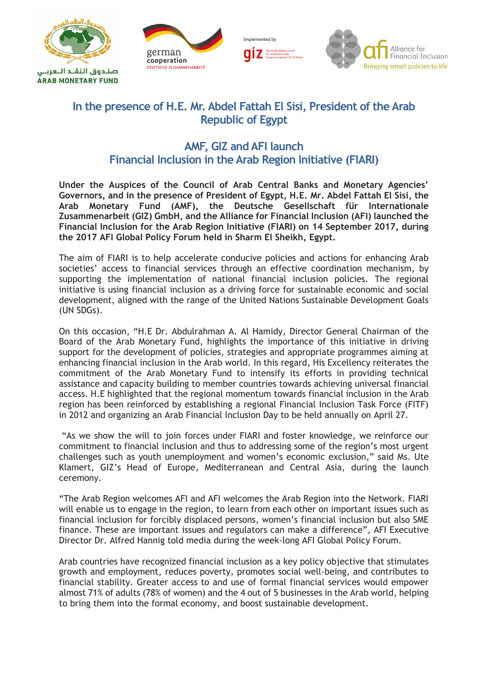







## **In the presence of H.E. Mr. Abdel Fattah El Sisi, President of the Arab Republic of Egypt**

## **AMF, GIZ and AFI launch Financial Inclusion in the Arab Region Initiative (FIARI)**

**Under the Auspices of the Council of Arab Central Banks and Monetary Agencies' Governors, and in the presence of President of Egypt, H.E. Mr. Abdel Fattah El Sisi, the Arab Monetary Fund (AMF), the Deutsche Gesellschaft für Internationale Zusammenarbeit (GIZ) GmbH, and the Alliance for Financial Inclusion (AFI) launched the Financial Inclusion for the Arab Region Initiative (FIARI) on 14 September 2017, during the 2017 AFI Global Policy Forum held in Sharm El Sheikh, Egypt.** 

The aim of FIARI is to help accelerate conducive policies and actions for enhancing Arab societies' access to financial services through an effective coordination mechanism, by supporting the implementation of national financial inclusion policies. The regional initiative is using financial inclusion as a driving force for sustainable economic and social development, aligned with the range of the United Nations Sustainable Development Goals (UN SDGs).

On this occasion, "H.E Dr. Abdulrahman A. Al Hamidy, Director General Chairman of the Board of the Arab Monetary Fund, highlights the importance of this initiative in driving support for the development of policies, strategies and appropriate programmes aiming at enhancing financial inclusion in the Arab world. In this regard, His Excellency reiterates the commitment of the Arab Monetary Fund to intensify its efforts in providing technical assistance and capacity building to member countries towards achieving universal financial access. H.E highlighted that the regional momentum towards financial inclusion in the Arab region has been reinforced by establishing a regional Financial Inclusion Task Force (FITF) in 2012 and organizing an Arab Financial Inclusion Day to be held annually on April 27.

"As we show the will to join forces under FIARI and foster knowledge, we reinforce our commitment to financial inclusion and thus to addressing some of the region's most urgent challenges such as youth unemployment and women's economic exclusion," said Ms. Ute Klamert, GIZ's Head of Europe, Mediterranean and Central Asia, during the launch ceremony.

"The Arab Region welcomes AFI and AFI welcomes the Arab Region into the Network. FIARI will enable us to engage in the region, to learn from each other on important issues such as financial inclusion for forcibly displaced persons, women's financial inclusion but also SME finance. These are important issues and regulators can make a difference", AFI Executive Director Dr. Alfred Hannig told media during the week-long AFI Global Policy Forum.

Arab countries have recognized financial inclusion as a key policy objective that stimulates growth and employment, reduces poverty, promotes social well-being, and contributes to financial stability. Greater access to and use of formal financial services would empower almost 71% of adults (78% of women) and the 4 out of 5 businesses in the Arab world, helping to bring them into the formal economy, and boost sustainable development.